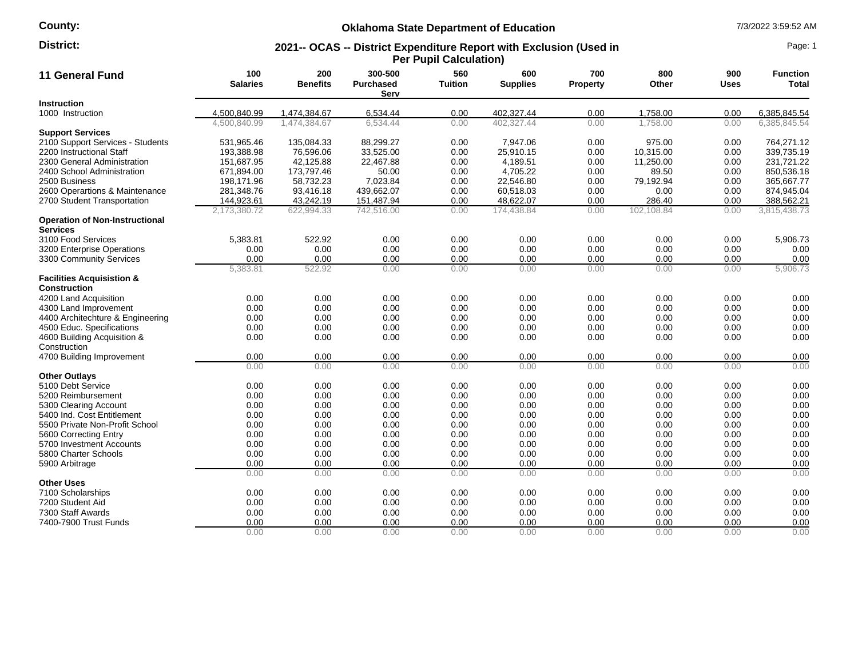## **County:**

# **Oklahoma State Department of Education** 7/3/2022 3:59:52 AM

#### **2021-- OCAS -- District Expenditure Report with Exclusion (Used in Per Pupil Calculation) District:** Page: 1

| 11 General Fund                                             | 100<br><b>Salaries</b> | 200<br><b>Benefits</b> | 300-500<br><b>Purchased</b><br>Serv | 560<br><b>Tuition</b> | 600<br><b>Supplies</b> | 700<br>Property | 800<br>Other | 900<br><b>Uses</b> | <b>Function</b><br><b>Total</b> |
|-------------------------------------------------------------|------------------------|------------------------|-------------------------------------|-----------------------|------------------------|-----------------|--------------|--------------------|---------------------------------|
| <b>Instruction</b>                                          |                        |                        |                                     |                       |                        |                 |              |                    |                                 |
| 1000 Instruction                                            | 4,500,840.99           | 1,474,384.67           | 6,534.44                            | 0.00                  | 402,327.44             | 0.00            | 1,758.00     | 0.00               | 6,385,845.54                    |
|                                                             | 4,500,840.99           | 1,474,384.67           | 6.534.44                            | 0.00                  | 402.327.44             | 0.00            | 1.758.00     | 0.00               | 6.385.845.54                    |
| <b>Support Services</b>                                     |                        |                        |                                     |                       |                        |                 |              |                    |                                 |
| 2100 Support Services - Students                            | 531,965.46             | 135,084.33             | 88,299.27                           | 0.00                  | 7,947.06               | 0.00            | 975.00       | 0.00               | 764,271.12                      |
| 2200 Instructional Staff                                    | 193,388.98             | 76,596.06              | 33,525.00                           | 0.00                  | 25,910.15              | 0.00            | 10,315.00    | 0.00               | 339,735.19                      |
| 2300 General Administration                                 | 151,687.95             | 42.125.88              | 22.467.88                           | 0.00                  | 4.189.51               | 0.00            | 11,250.00    | 0.00               | 231.721.22                      |
| 2400 School Administration                                  | 671,894.00             | 173,797.46             | 50.00                               | 0.00                  | 4,705.22               | 0.00            | 89.50        | 0.00               | 850,536.18                      |
| 2500 Business                                               | 198,171.96             | 58,732.23              | 7,023.84                            | 0.00                  | 22,546.80              | 0.00            | 79,192.94    | 0.00               | 365,667.77                      |
| 2600 Operartions & Maintenance                              | 281,348.76             | 93,416.18              | 439,662.07                          | 0.00                  | 60,518.03              | 0.00            | 0.00         | 0.00               | 874,945.04                      |
| 2700 Student Transportation                                 | 144,923.61             | 43,242.19              | 151,487.94                          | 0.00                  | 48,622.07              | 0.00            | 286.40       | 0.00               | 388,562.21                      |
|                                                             | 2,173,380.72           | 622,994.33             | 742,516.00                          | 0.00                  | 174,438.84             | 0.00            | 102,108.84   | 0.00               | 3,815,438.73                    |
| <b>Operation of Non-Instructional</b><br><b>Services</b>    |                        |                        |                                     |                       |                        |                 |              |                    |                                 |
| 3100 Food Services                                          | 5,383.81               | 522.92                 | 0.00                                | 0.00                  | 0.00                   | 0.00            | 0.00         | 0.00               | 5,906.73                        |
| 3200 Enterprise Operations                                  | 0.00                   | 0.00                   | 0.00                                | 0.00                  | 0.00                   | 0.00            | 0.00         | 0.00               | 0.00                            |
| 3300 Community Services                                     | 0.00                   | 0.00                   | 0.00                                | 0.00                  | 0.00                   | 0.00            | 0.00         | 0.00               | 0.00                            |
|                                                             | 5,383.81               | 522.92                 | 0.00                                | 0.00                  | 0.00                   | 0.00            | 0.00         | 0.00               | 5,906.73                        |
| <b>Facilities Acquisistion &amp;</b><br><b>Construction</b> |                        |                        |                                     |                       |                        |                 |              |                    |                                 |
| 4200 Land Acquisition                                       | 0.00                   | 0.00                   | 0.00                                | 0.00                  | 0.00                   | 0.00            | 0.00         | 0.00               | 0.00                            |
| 4300 Land Improvement                                       | 0.00                   | 0.00                   | 0.00                                | 0.00                  | 0.00                   | 0.00            | 0.00         | 0.00               | 0.00                            |
| 4400 Architechture & Engineering                            | 0.00                   | 0.00                   | 0.00                                | 0.00                  | 0.00                   | 0.00            | 0.00         | 0.00               | 0.00                            |
| 4500 Educ. Specifications                                   | 0.00                   | 0.00                   | 0.00                                | 0.00                  | 0.00                   | 0.00            | 0.00         | 0.00               | 0.00                            |
| 4600 Building Acquisition &                                 | 0.00                   | 0.00                   | 0.00                                | 0.00                  | 0.00                   | 0.00            | 0.00         | 0.00               | 0.00                            |
| Construction                                                |                        |                        |                                     |                       |                        |                 |              |                    |                                 |
| 4700 Building Improvement                                   | 0.00                   | 0.00                   | 0.00                                | 0.00                  | 0.00                   | 0.00            | 0.00         | 0.00               | 0.00                            |
|                                                             | 0.00                   | 0.00                   | 0.00                                | 0.00                  | 0.00                   | 0.00            | 0.00         | 0.00               | 0.00                            |
| <b>Other Outlays</b>                                        |                        |                        |                                     |                       |                        |                 |              |                    |                                 |
| 5100 Debt Service                                           | 0.00                   | 0.00                   | 0.00                                | 0.00                  | 0.00                   | 0.00            | 0.00         | 0.00               | 0.00                            |
| 5200 Reimbursement                                          | 0.00                   | 0.00                   | 0.00                                | 0.00                  | 0.00                   | 0.00            | 0.00         | 0.00               | 0.00                            |
| 5300 Clearing Account                                       | 0.00                   | 0.00                   | 0.00                                | 0.00                  | 0.00                   | 0.00            | 0.00         | 0.00               | 0.00                            |
| 5400 Ind. Cost Entitlement                                  | 0.00                   | 0.00                   | 0.00                                | 0.00                  | 0.00                   | 0.00            | 0.00         | 0.00               | 0.00                            |
| 5500 Private Non-Profit School                              | 0.00                   | 0.00                   | 0.00                                | 0.00                  | 0.00                   | 0.00            | 0.00         | 0.00               | 0.00                            |
| 5600 Correcting Entry                                       | 0.00                   | 0.00                   | 0.00                                | 0.00                  | 0.00                   | 0.00            | 0.00         | 0.00               | 0.00                            |
| 5700 Investment Accounts                                    | 0.00                   | 0.00                   | 0.00                                | 0.00                  | 0.00                   | 0.00            | 0.00         | 0.00               | 0.00                            |
| 5800 Charter Schools                                        | 0.00                   | 0.00                   | 0.00                                | 0.00                  | 0.00                   | 0.00            | 0.00         | 0.00               | 0.00                            |
| 5900 Arbitrage                                              | 0.00                   | 0.00                   | 0.00                                | 0.00                  | 0.00                   | 0.00            | 0.00         | 0.00               | 0.00                            |
|                                                             | 0.00                   | 0.00                   | 0.00                                | 0.00                  | 0.00                   | 0.00            | 0.00         | 0.00               | 0.00                            |
|                                                             |                        |                        |                                     |                       |                        |                 |              |                    |                                 |
| <b>Other Uses</b>                                           |                        |                        |                                     |                       |                        |                 |              |                    | 0.00                            |
| 7100 Scholarships                                           | 0.00                   | 0.00                   | 0.00                                | 0.00                  | 0.00                   | 0.00            | 0.00         | 0.00               |                                 |
| 7200 Student Aid                                            | 0.00                   | 0.00                   | 0.00                                | 0.00                  | 0.00                   | 0.00            | 0.00         | 0.00               | 0.00                            |
| 7300 Staff Awards                                           | 0.00                   | 0.00                   | 0.00                                | 0.00                  | 0.00                   | 0.00            | 0.00         | 0.00               | 0.00                            |
| 7400-7900 Trust Funds                                       | 0.00                   | 0.00                   | 0.00                                | 0.00                  | 0.00                   | 0.00            | 0.00         | 0.00               | 0.00                            |
|                                                             | 0.00                   | 0.00                   | 0.00                                | 0.00                  | 0.00                   | 0.00            | 0.00         | 0.00               | 0.00                            |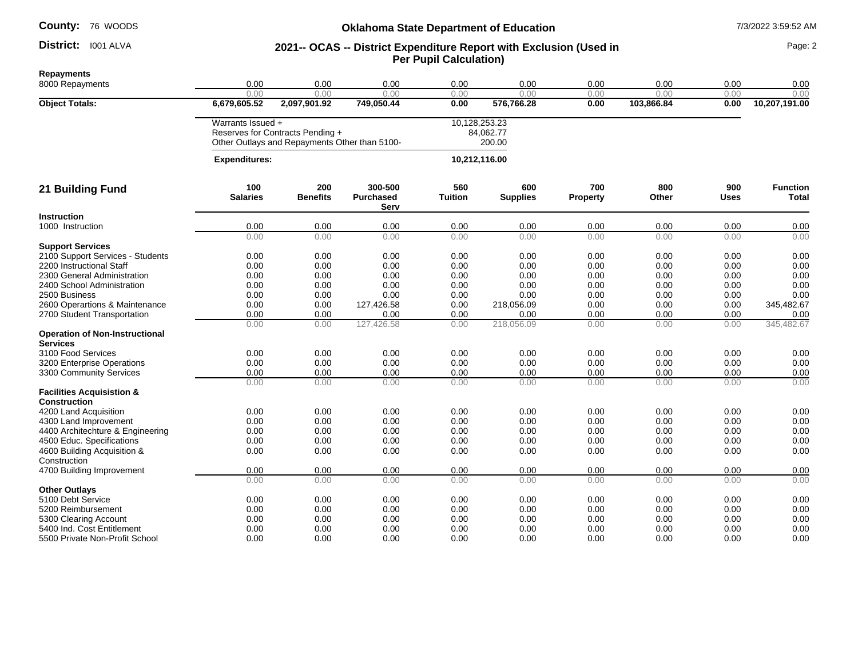#### District: 1001 ALVA

#### **Oklahoma State Department of Education** 7/3/2022 3:59:52 AM

#### **District:** 1001 ALVA **1993 11 2021 -- OCAS -- District Expenditure Report with Exclusion (Used in 1998) Page: 2 Per Pupil Calculation)**

**Repayments** 8000 Repayments 0.00 0.00 0.00 0.00 0.00 0.00 0.00 0.00 0.00 0.00 0.00 0.00 0.00 0.00 0.00 0.00 0.00 **Object Totals: 6,679,605.52 2,097,901.92 749,050.44 0.00 576,766.28 0.00 103,866.84 0.00 10,207,191.00** Warrants Issued + 10,128,253.23 Reserves for Contracts Pending + Other Outlays and Repayments Other than 5100- 84,062.77 200.00  **Expenditures: 10,212,116.00 21 Building Fund 100 Salaries 200 Benefits 300-500 Purchased Serv 560 Tuition 600 Supplies 700 Property 800 Other 900 Uses Function Total Instruction**<br>1000 Instruction 1000 Instruction 0.00 0.00 0.00 0.00 0.00 0.00 0.00 0.00 0.00 0.00 0.00 0.00 0.00 0.00 0.00 0.00 0.00 **Support Services** 2100 Support Services - Students 0.00 0.00 0.00 0.00 0.00 0.00 0.00 0.00 0.00 2200 Instructional Staff 0.00 0.00 0.00 0.00 0.00 0.00 0.00 0.00 0.00 2300 General Administration 0.00 0.00 0.00 0.00 0.00 0.00 0.00 0.00 0.00 2400 School Administration 0.00 0.00 0.00 0.00 0.00 0.00 0.00 0.00 2500 Business 0.00 0.00 0.00 0.00 0.00 0.00 0.00 0.00 0.00 2600 Operartions & Maintenance  $\begin{array}{cccccccc}\n 0.00 & 0.00 & 127,426.58 & 0.00 & 218,056.09 & 0.00 & 0.00 & 0.00 \\
2700 \text{ Student Transportation} & 0.00 & 0.00 & 0.00 & 0.00 & 0.00 & 0.00\n \end{array}$ 2700 Student Transportation 0.00 0.00 0.00 0.00 0.00 0.00 0.00 0.00 0.00 0.00 0.00 127,426.58 0.00 218,056.09 0.00 0.00 0.00 345,482.67 **Operation of Non-Instructional Services**<br>3100 Food Services 3100 Food Services 0.00 0.00 0.00 0.00 0.00 0.00 0.00 0.00 0.00 3200 Enterprise Operations 0.00 0.00 0.00 0.00 0.00 0.00 0.00 0.00 0.00 3300 Community Services **12 12 1300** Community Services **12 1300** Community Services **12 1300** Community Services **12 1300** Community Services **12 1300** Community Services **12 1300** Community Services **12 1300** Community S 0.00 0.00 0.00 0.00 0.00 0.00 0.00 0.00 0.00 **Facilities Acquisistion & Construction** 4200 Land Acquisition 0.00 0.00 0.00 0.00 0.00 0.00 0.00 0.00 0.00 4300 Land Improvement 0.00 0.00 0.00 0.00 0.00 0.00 0.00 0.00 0.00 4400 Architechture & Engineering 0.00 0.00 0.00 0.00 0.00 0.00 0.00 0.00 0.00 4500 Educ. Specifications 0.00 0.00 0.00 0.00 0.00 0.00 0.00 0.00 0.00 4600 Building Acquisition & **Construction** 0.00 0.00 0.00 0.00 0.00 0.00 0.00 0.00 0.00 4700 Building Improvement 0.00 0.00 0.00 0.00 0.00 0.00 0.00 0.00 0.00 0.00 0.00 0.00 0.00 0.00 0.00 0.00 0.00 0.00 **Other Outlays**<br>5100 Debt Service 5100 Debt Service 0.00 0.00 0.00 0.00 0.00 0.00 0.00 0.00 5200 Reimbursement 0.00 0.00 0.00 0.00 0.00 0.00 0.00 0.00 0.00 5300 Clearing Account 0.00 0.00 0.00 0.00 0.00 0.00 0.00 0.00 5400 Ind. Cost Entitlement 0.00 0.00 0.00 0.00 0.00 0.00 0.00 0.00 0.00 5500 Private Non-Profit School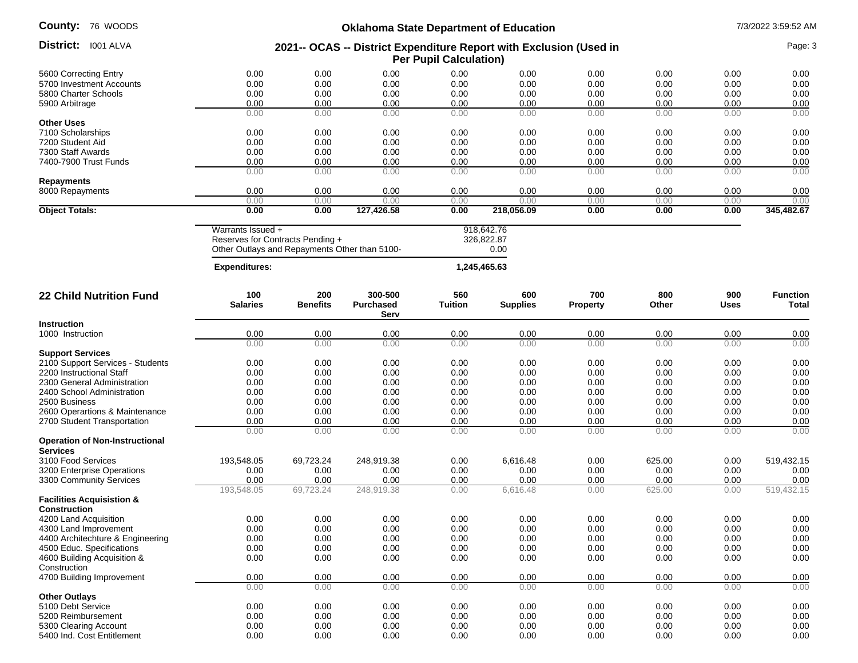| <b>County:</b> 76 WOODS                                  | <b>Oklahoma State Department of Education</b>                                                          |                        |                                     |                       |                                  |                        |              | 7/3/2022 3:59:52 AM |                          |  |
|----------------------------------------------------------|--------------------------------------------------------------------------------------------------------|------------------------|-------------------------------------|-----------------------|----------------------------------|------------------------|--------------|---------------------|--------------------------|--|
| District: I001 ALVA                                      | 2021-- OCAS -- District Expenditure Report with Exclusion (Used in<br><b>Per Pupil Calculation)</b>    |                        |                                     |                       |                                  |                        |              | Page: 3             |                          |  |
| 5600 Correcting Entry                                    | 0.00                                                                                                   | 0.00                   | 0.00                                | 0.00                  | 0.00                             | 0.00                   | 0.00         | 0.00                | 0.00                     |  |
| 5700 Investment Accounts                                 | 0.00                                                                                                   | 0.00                   | 0.00                                | 0.00                  | 0.00                             | 0.00                   | 0.00         | 0.00                | 0.00                     |  |
| 5800 Charter Schools                                     | 0.00                                                                                                   | 0.00                   | 0.00                                | 0.00                  | 0.00                             | 0.00                   | 0.00         | 0.00                | 0.00                     |  |
| 5900 Arbitrage                                           | 0.00                                                                                                   | 0.00                   | 0.00                                | 0.00                  | 0.00                             | 0.00                   | 0.00         | 0.00                | 0.00                     |  |
|                                                          | 0.00                                                                                                   | 0.00                   | 0.00                                | 0.00                  | 0.00                             | 0.00                   | 0.00         | 0.00                | 0.00                     |  |
| <b>Other Uses</b>                                        |                                                                                                        |                        |                                     |                       |                                  |                        |              |                     |                          |  |
| 7100 Scholarships                                        | 0.00                                                                                                   | 0.00                   | 0.00                                | 0.00                  | 0.00                             | 0.00                   | 0.00         | 0.00                | 0.00                     |  |
| 7200 Student Aid                                         | 0.00                                                                                                   | 0.00                   | 0.00                                | 0.00                  | 0.00                             | 0.00                   | 0.00         | 0.00                | 0.00                     |  |
| 7300 Staff Awards                                        | 0.00                                                                                                   | 0.00                   | 0.00                                | 0.00                  | 0.00                             | 0.00                   | 0.00         | 0.00                | 0.00                     |  |
| 7400-7900 Trust Funds                                    | 0.00<br>0.00                                                                                           | 0.00<br>0.00           | 0.00<br>0.00                        | 0.00<br>0.00          | 0.00<br>0.00                     | 0.00<br>0.00           | 0.00<br>0.00 | 0.00<br>0.00        | 0.00<br>0.00             |  |
| <b>Repayments</b>                                        |                                                                                                        |                        |                                     |                       |                                  |                        |              |                     |                          |  |
| 8000 Repayments                                          | 0.00                                                                                                   | 0.00                   | 0.00                                | 0.00                  | 0.00                             | 0.00                   | 0.00         | 0.00                | 0.00                     |  |
| <b>Object Totals:</b>                                    | 0.00<br>0.00                                                                                           | 0.00<br>0.00           | 0.00<br>127,426.58                  | 0.00<br>0.00          | 0.00<br>218,056.09               | 0.00<br>0.00           | 0.00<br>0.00 | 0.00<br>0.00        | 0.00<br>345,482.67       |  |
|                                                          | Warrants Issued +<br>Reserves for Contracts Pending +<br>Other Outlays and Repayments Other than 5100- |                        |                                     |                       | 918,642.76<br>326,822.87<br>0.00 |                        |              |                     |                          |  |
|                                                          | <b>Expenditures:</b>                                                                                   |                        |                                     | 1,245,465.63          |                                  |                        |              |                     |                          |  |
| <b>22 Child Nutrition Fund</b>                           | 100<br><b>Salaries</b>                                                                                 | 200<br><b>Benefits</b> | 300-500<br><b>Purchased</b><br>Serv | 560<br><b>Tuition</b> | 600<br><b>Supplies</b>           | 700<br><b>Property</b> | 800<br>Other | 900<br><b>Uses</b>  | <b>Function</b><br>Total |  |
| <b>Instruction</b>                                       |                                                                                                        |                        |                                     |                       |                                  |                        |              |                     |                          |  |
| 1000 Instruction                                         | 0.00                                                                                                   | 0.00                   | 0.00                                | 0.00                  | 0.00                             | 0.00                   | 0.00         | 0.00                | 0.00                     |  |
|                                                          | 0.00                                                                                                   | 0.00                   | 0.00                                | 0.00                  | 0.00                             | 0.00                   | 0.00         | 0.00                | 0.00                     |  |
| <b>Support Services</b>                                  |                                                                                                        |                        |                                     |                       |                                  |                        |              |                     |                          |  |
| 2100 Support Services - Students                         | 0.00                                                                                                   | 0.00                   | 0.00                                | 0.00                  | 0.00                             | 0.00                   | 0.00         | 0.00                | 0.00                     |  |
| 2200 Instructional Staff                                 | 0.00                                                                                                   | 0.00                   | 0.00                                | 0.00                  | 0.00                             | 0.00                   | 0.00         | 0.00                | 0.00                     |  |
| 2300 General Administration                              | 0.00                                                                                                   | 0.00                   | 0.00                                | 0.00                  | 0.00                             | 0.00                   | 0.00         | 0.00                | 0.00                     |  |
| 2400 School Administration                               | 0.00                                                                                                   | 0.00                   | 0.00                                | 0.00                  | 0.00                             | 0.00                   | 0.00         | 0.00                | 0.00                     |  |
| 2500 Business                                            | 0.00                                                                                                   | 0.00                   | 0.00                                | 0.00                  | 0.00                             | 0.00                   | 0.00         | 0.00                | 0.00                     |  |
| 2600 Operartions & Maintenance                           | 0.00                                                                                                   | 0.00                   | 0.00                                | 0.00                  | 0.00                             | 0.00                   | 0.00         | 0.00                | 0.00                     |  |
| 2700 Student Transportation                              | 0.00<br>0.00                                                                                           | 0.00<br>0.00           | 0.00<br>0.00                        | 0.00<br>0.00          | 0.00<br>0.00                     | 0.00<br>0.00           | 0.00<br>0.00 | 0.00<br>0.00        | 0.00<br>0.00             |  |
| <b>Operation of Non-Instructional</b><br><b>Services</b> |                                                                                                        |                        |                                     |                       |                                  |                        |              |                     |                          |  |
| 3100 Food Services                                       | 193,548.05                                                                                             | 69,723.24              | 248,919.38                          | 0.00                  | 6.616.48                         | 0.00                   | 625.00       | 0.00                | 519,432.15               |  |
| 3200 Enterprise Operations                               | 0.00                                                                                                   | 0.00                   | 0.00                                | 0.00                  | 0.00                             | 0.00                   | 0.00         | 0.00                | 0.00                     |  |
| 3300 Community Services                                  | 0.00                                                                                                   | 0.00                   | 0.00                                | 0.00                  | 0.00                             | 0.00                   | 0.00         | 0.00                | 0.00                     |  |
|                                                          | 193,548.05                                                                                             | 69,723.24              | 248,919.38                          | 0.00                  | 6,616.48                         | 0.00                   | 625.00       | 0.00                | 519,432.15               |  |
| <b>Facilities Acquisistion &amp;</b>                     |                                                                                                        |                        |                                     |                       |                                  |                        |              |                     |                          |  |
| Construction<br>4200 Land Acquisition                    | 0.00                                                                                                   | 0.00                   | 0.00                                | 0.00                  | 0.00                             | 0.00                   | 0.00         | 0.00                |                          |  |
| 4300 Land Improvement                                    | 0.00                                                                                                   | 0.00                   | 0.00                                |                       | 0.00                             | 0.00                   | 0.00         | 0.00                | 0.00                     |  |
| 4400 Architechture & Engineering                         | 0.00                                                                                                   | 0.00                   | 0.00                                | 0.00<br>0.00          | 0.00                             | 0.00                   | 0.00         | 0.00                | 0.00<br>0.00             |  |
| 4500 Educ. Specifications                                | 0.00                                                                                                   | 0.00                   | 0.00                                | 0.00                  | 0.00                             | 0.00                   | 0.00         | 0.00                | 0.00                     |  |
| 4600 Building Acquisition &                              | 0.00                                                                                                   | 0.00                   | 0.00                                | 0.00                  | 0.00                             | 0.00                   | 0.00         | 0.00                | 0.00                     |  |
| Construction                                             |                                                                                                        |                        |                                     |                       |                                  |                        |              |                     |                          |  |
| 4700 Building Improvement                                | 0.00                                                                                                   | 0.00                   | 0.00                                | 0.00                  | 0.00                             | 0.00                   | 0.00         | 0.00                | 0.00                     |  |
|                                                          | 0.00                                                                                                   | 0.00                   | 0.00                                | 0.00                  | 0.00                             | 0.00                   | 0.00         | 0.00                | 0.00                     |  |
| <b>Other Outlays</b>                                     |                                                                                                        |                        |                                     |                       |                                  |                        |              |                     |                          |  |
| 5100 Debt Service                                        | 0.00                                                                                                   | 0.00                   | 0.00                                | 0.00                  | 0.00                             | 0.00                   | 0.00         | 0.00                | 0.00                     |  |
| 5200 Reimbursement                                       | 0.00                                                                                                   | 0.00                   | 0.00                                | 0.00                  | 0.00                             | 0.00                   | 0.00         | 0.00                | 0.00                     |  |
| 5300 Clearing Account<br>5400 Ind. Cost Entitlement      | 0.00<br>0.00                                                                                           | 0.00<br>0.00           | 0.00<br>0.00                        | 0.00<br>0.00          | 0.00<br>0.00                     | 0.00<br>0.00           | 0.00<br>0.00 | 0.00<br>0.00        | 0.00<br>0.00             |  |
|                                                          |                                                                                                        |                        |                                     |                       |                                  |                        |              |                     |                          |  |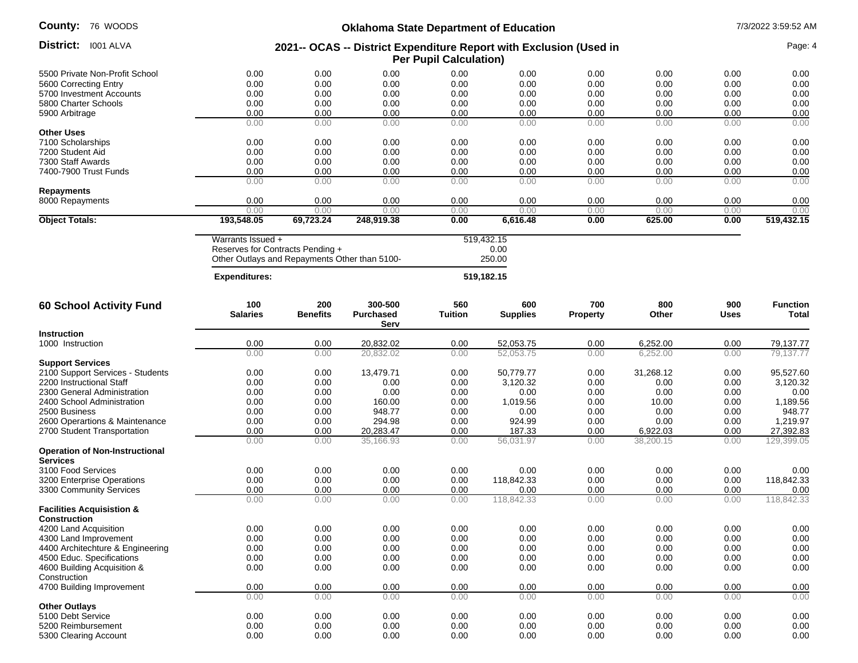## **Oklahoma State Department of Education** 7/3/2022 3:59:52 AM

|                                                          |                                                                                                        |                 | ONIGHUMIG State Department of Education |                |                              |                 |           |             |                 |
|----------------------------------------------------------|--------------------------------------------------------------------------------------------------------|-----------------|-----------------------------------------|----------------|------------------------------|-----------------|-----------|-------------|-----------------|
| District: I001 ALVA                                      | 2021-- OCAS -- District Expenditure Report with Exclusion (Used in<br><b>Per Pupil Calculation)</b>    |                 |                                         |                |                              |                 |           |             | Page: 4         |
| 5500 Private Non-Profit School                           | 0.00                                                                                                   | 0.00            | 0.00                                    | 0.00           | 0.00                         | 0.00            | 0.00      | 0.00        | 0.00            |
| 5600 Correcting Entry                                    | 0.00                                                                                                   | 0.00            | 0.00                                    | 0.00           | 0.00                         | 0.00            | 0.00      | 0.00        | 0.00            |
| 5700 Investment Accounts                                 | 0.00                                                                                                   | 0.00            | 0.00                                    | 0.00           | 0.00                         | 0.00            | 0.00      | 0.00        | 0.00            |
| 5800 Charter Schools                                     | 0.00                                                                                                   | 0.00            | 0.00                                    | 0.00           | 0.00                         | 0.00            | 0.00      | 0.00        | 0.00            |
| 5900 Arbitrage                                           | 0.00                                                                                                   | 0.00            | 0.00                                    | 0.00           | 0.00                         | 0.00            | 0.00      | 0.00        | 0.00            |
|                                                          | 0.00                                                                                                   | 0.00            | 0.00                                    | 0.00           | 0.00                         | 0.00            | 0.00      | 0.00        | 0.00            |
| <b>Other Uses</b>                                        |                                                                                                        |                 |                                         |                |                              |                 |           |             |                 |
| 7100 Scholarships                                        | 0.00                                                                                                   | 0.00            | 0.00                                    | 0.00           | 0.00                         | 0.00            | 0.00      | 0.00        | 0.00            |
| 7200 Student Aid                                         | 0.00                                                                                                   | 0.00            | 0.00                                    | 0.00           | 0.00                         | 0.00            | 0.00      | 0.00        | 0.00            |
| 7300 Staff Awards                                        | 0.00                                                                                                   | 0.00            | 0.00                                    | 0.00           | 0.00                         | 0.00            | 0.00      | 0.00        | 0.00            |
| 7400-7900 Trust Funds                                    | 0.00                                                                                                   | 0.00            | 0.00                                    | 0.00           | 0.00                         | 0.00            | 0.00      | 0.00        | 0.00            |
|                                                          | 0.00                                                                                                   | 0.00            | 0.00                                    | 0.00           | 0.00                         | 0.00            | 0.00      | 0.00        | 0.00            |
| Repayments                                               |                                                                                                        |                 |                                         |                |                              |                 |           |             |                 |
| 8000 Repayments                                          | 0.00                                                                                                   | 0.00            | 0.00                                    | 0.00           | 0.00                         | 0.00            | 0.00      | 0.00        | 0.00            |
|                                                          | 0.00                                                                                                   | 0.00            | 0.00                                    | 0.00           | 0.00                         | 0.00            | 0.00      | 0.00        | 0.00            |
| <b>Object Totals:</b>                                    | 193,548.05                                                                                             | 69,723.24       | 248,919.38                              | 0.00           | 6,616.48                     | 0.00            | 625.00    | 0.00        | 519,432.15      |
|                                                          | Warrants Issued +<br>Reserves for Contracts Pending +<br>Other Outlays and Repayments Other than 5100- |                 |                                         |                | 519,432.15<br>0.00<br>250.00 |                 |           |             |                 |
|                                                          | <b>Expenditures:</b>                                                                                   |                 |                                         |                | 519,182.15                   |                 |           |             |                 |
| 60 School Activity Fund                                  | 100                                                                                                    | 200             | 300-500                                 | 560            | 600                          | 700             | 800       | 900         | <b>Function</b> |
|                                                          | <b>Salaries</b>                                                                                        | <b>Benefits</b> | <b>Purchased</b><br>Serv                | <b>Tuition</b> | <b>Supplies</b>              | <b>Property</b> | Other     | <b>Uses</b> | Total           |
| <b>Instruction</b>                                       |                                                                                                        |                 |                                         |                |                              |                 |           |             |                 |
| 1000 Instruction                                         | 0.00                                                                                                   | 0.00            | 20,832.02                               | 0.00           | 52,053.75                    | 0.00            | 6,252.00  | 0.00        | 79,137.77       |
|                                                          | 0.00                                                                                                   | 0.00            | 20,832.02                               | 0.00           | 52,053.75                    | 0.00            | 6,252.00  | 0.00        | 79,137.77       |
| <b>Support Services</b>                                  |                                                                                                        |                 |                                         |                |                              |                 |           |             |                 |
| 2100 Support Services - Students                         | 0.00                                                                                                   | 0.00            | 13,479.71                               | 0.00           | 50,779.77                    | 0.00            | 31,268.12 | 0.00        | 95,527.60       |
| 2200 Instructional Staff                                 | 0.00                                                                                                   | 0.00            | 0.00                                    | 0.00           | 3,120.32                     | 0.00            | 0.00      | 0.00        | 3,120.32        |
| 2300 General Administration                              | 0.00                                                                                                   | 0.00            | 0.00                                    | 0.00           | 0.00                         | 0.00            | 0.00      | 0.00        | 0.00            |
| 2400 School Administration                               | 0.00                                                                                                   | 0.00            | 160.00                                  | 0.00           | 1,019.56                     | 0.00            | 10.00     | 0.00        | 1,189.56        |
| 2500 Business                                            | 0.00                                                                                                   | 0.00            | 948.77                                  | 0.00           | 0.00                         | 0.00            | 0.00      | 0.00        | 948.77          |
| 2600 Operartions & Maintenance                           | 0.00                                                                                                   | 0.00            | 294.98                                  | 0.00           | 924.99                       | 0.00            | 0.00      | 0.00        | 1,219.97        |
| 2700 Student Transportation                              | 0.00                                                                                                   | 0.00            | 20,283.47                               | 0.00           | 187.33                       | 0.00            | 6,922.03  | 0.00        | 27,392.83       |
| <b>Operation of Non-Instructional</b><br><b>Services</b> | 0.00                                                                                                   | 0.00            | 35,166.93                               | 0.00           | 56,031.97                    | 0.00            | 38,200.15 | 0.00        | 129,399.05      |
| 3100 Food Services                                       | 0.00                                                                                                   | 0.00            | 0.00                                    | 0.00           | 0.00                         | 0.00            | 0.00      | 0.00        | 0.00            |
| 3200 Enterprise Operations                               | 0.00                                                                                                   | 0.00            | 0.00                                    | 0.00           | 118,842.33                   | 0.00            | 0.00      | 0.00        | 118,842.33      |
| 3300 Community Services                                  | 0.00                                                                                                   | 0.00            | 0.00                                    | 0.00           | 0.00                         | 0.00            | 0.00      | 0.00        | 0.00            |
|                                                          | 0.00                                                                                                   | 0.00            | 0.00                                    | 0.00           | 118,842.33                   | 0.00            | 0.00      | 0.00        | 118.842.33      |
| <b>Facilities Acquisistion &amp;</b><br>Construction     |                                                                                                        |                 |                                         |                |                              |                 |           |             |                 |
| 4200 Land Acquisition                                    | 0.00                                                                                                   | 0.00            | 0.00                                    | 0.00           | 0.00                         | 0.00            | 0.00      | 0.00        | 0.00            |
| 4300 Land Improvement                                    | 0.00                                                                                                   | 0.00            | 0.00                                    | 0.00           | 0.00                         | 0.00            | 0.00      | 0.00        | 0.00            |
| 4400 Architechture & Engineering                         | 0.00                                                                                                   | 0.00            | 0.00                                    | 0.00           | 0.00                         | 0.00            | 0.00      | 0.00        | 0.00            |
| 4500 Educ. Specifications                                | 0.00                                                                                                   | 0.00            | 0.00                                    | 0.00           | 0.00                         | 0.00            | 0.00      | 0.00        | 0.00            |
| 4600 Building Acquisition &                              | 0.00                                                                                                   | 0.00            | 0.00                                    | 0.00           | 0.00                         | 0.00            | 0.00      | 0.00        | 0.00            |
| Construction                                             |                                                                                                        |                 |                                         |                |                              |                 |           |             |                 |
| 4700 Building Improvement                                | 0.00                                                                                                   | 0.00            | 0.00                                    | 0.00           | 0.00                         | 0.00            | 0.00      | 0.00        | 0.00            |
|                                                          | 0.00                                                                                                   | 0.00            | 0.00                                    | 0.00           | 0.00                         | 0.00            | 0.00      | 0.00        | 0.00            |
| <b>Other Outlays</b>                                     |                                                                                                        |                 |                                         |                |                              |                 |           |             |                 |
| 5100 Debt Service                                        | 0.00                                                                                                   | 0.00            | 0.00                                    | 0.00           | 0.00                         | 0.00            | 0.00      | 0.00        | 0.00            |
| 5200 Reimbursement                                       | 0.00                                                                                                   | 0.00            | 0.00                                    | 0.00           | 0.00                         | 0.00            | 0.00      | 0.00        | 0.00            |
| 5300 Clearing Account                                    | 0.00                                                                                                   | 0.00            | 0.00                                    | 0.00           | 0.00                         | 0.00            | 0.00      | 0.00        | 0.00            |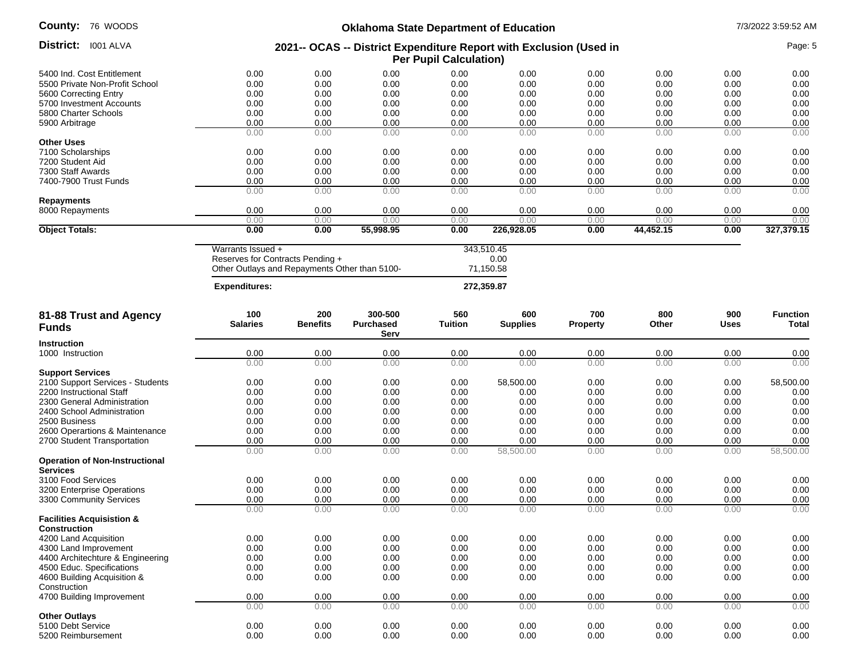## **Oklahoma State Department of Education** 7/3/2022 3:59:52 AM

| TU MUUU                                                       |                                                                                                        |                        | Oxianoma State Department or Education |                       |                                 |                        |              |                    | 77312022 3.33.32 AIV     |
|---------------------------------------------------------------|--------------------------------------------------------------------------------------------------------|------------------------|----------------------------------------|-----------------------|---------------------------------|------------------------|--------------|--------------------|--------------------------|
| District: 1001 ALVA                                           | 2021-- OCAS -- District Expenditure Report with Exclusion (Used in<br><b>Per Pupil Calculation)</b>    |                        |                                        |                       |                                 |                        |              |                    | Page: 5                  |
| 5400 Ind. Cost Entitlement                                    | 0.00                                                                                                   | 0.00                   | 0.00                                   | 0.00                  | 0.00                            | 0.00                   | 0.00         | 0.00               | 0.00                     |
| 5500 Private Non-Profit School                                | 0.00                                                                                                   | 0.00                   | 0.00                                   | 0.00                  | 0.00                            | 0.00                   | 0.00         | 0.00               | 0.00                     |
| 5600 Correcting Entry                                         | 0.00                                                                                                   | 0.00                   | 0.00                                   | 0.00                  | 0.00                            | 0.00                   | 0.00         | 0.00               | 0.00                     |
| 5700 Investment Accounts                                      | 0.00                                                                                                   | 0.00                   | 0.00                                   | 0.00                  | 0.00                            | 0.00                   | 0.00         | 0.00               | 0.00                     |
| 5800 Charter Schools                                          | 0.00                                                                                                   | 0.00                   | 0.00                                   | 0.00                  | 0.00                            | 0.00                   | 0.00         | 0.00               | 0.00                     |
| 5900 Arbitrage                                                | 0.00                                                                                                   | 0.00                   | 0.00                                   | 0.00                  | 0.00                            | 0.00                   | 0.00         | 0.00               | 0.00                     |
|                                                               | 0.00                                                                                                   | 0.00                   | 0.00                                   | 0.00                  | 0.00                            | 0.00                   | 0.00         | 0.00               | 0.00                     |
| <b>Other Uses</b>                                             |                                                                                                        |                        |                                        |                       |                                 |                        |              |                    |                          |
| 7100 Scholarships                                             | 0.00                                                                                                   | 0.00                   | 0.00                                   | 0.00                  | 0.00                            | 0.00                   | 0.00         | 0.00               | 0.00                     |
| 7200 Student Aid                                              | 0.00                                                                                                   | 0.00                   | 0.00                                   | 0.00                  | 0.00                            | 0.00                   | 0.00         | 0.00               | 0.00                     |
| 7300 Staff Awards                                             | 0.00                                                                                                   | 0.00                   | 0.00                                   | 0.00                  | 0.00                            | 0.00                   | 0.00         | 0.00               | 0.00                     |
| 7400-7900 Trust Funds                                         | 0.00                                                                                                   | 0.00                   | 0.00                                   | 0.00                  | 0.00                            | 0.00                   | 0.00         | 0.00               | 0.00                     |
|                                                               | 0.00                                                                                                   | 0.00                   | 0.00                                   | 0.00                  | 0.00                            | 0.00                   | 0.00         | 0.00               | 0.00                     |
| <b>Repayments</b>                                             |                                                                                                        |                        |                                        |                       |                                 |                        |              |                    |                          |
| 8000 Repayments                                               | 0.00<br>0.00                                                                                           | 0.00<br>0.00           | 0.00<br>0.00                           | 0.00<br>0.00          | 0.00<br>0.00                    | 0.00<br>0.00           | 0.00<br>0.00 | 0.00<br>0.00       | 0.00<br>0.00             |
| <b>Object Totals:</b>                                         | 0.00                                                                                                   | 0.00                   | 55,998.95                              | 0.00                  | 226,928.05                      | 0.00                   | 44,452.15    | 0.00               | 327,379.15               |
|                                                               |                                                                                                        |                        |                                        |                       |                                 |                        |              |                    |                          |
|                                                               | Warrants Issued +<br>Reserves for Contracts Pending +<br>Other Outlays and Repayments Other than 5100- |                        |                                        |                       | 343,510.45<br>0.00<br>71,150.58 |                        |              |                    |                          |
|                                                               | <b>Expenditures:</b>                                                                                   |                        |                                        |                       | 272,359.87                      |                        |              |                    |                          |
| 81-88 Trust and Agency<br><b>Funds</b>                        | 100<br><b>Salaries</b>                                                                                 | 200<br><b>Benefits</b> | 300-500<br><b>Purchased</b>            | 560<br><b>Tuition</b> | 600<br><b>Supplies</b>          | 700<br><b>Property</b> | 800<br>Other | 900<br><b>Uses</b> | <b>Function</b><br>Total |
|                                                               |                                                                                                        |                        | Serv                                   |                       |                                 |                        |              |                    |                          |
| <b>Instruction</b><br>1000 Instruction                        |                                                                                                        |                        |                                        |                       |                                 |                        |              |                    |                          |
|                                                               | 0.00<br>0.00                                                                                           | 0.00<br>0.00           | 0.00<br>0.00                           | 0.00<br>0.00          | 0.00<br>0.00                    | 0.00<br>0.00           | 0.00<br>0.00 | 0.00<br>0.00       | 0.00<br>0.00             |
| <b>Support Services</b>                                       |                                                                                                        |                        |                                        |                       |                                 |                        |              |                    |                          |
| 2100 Support Services - Students                              | 0.00                                                                                                   | 0.00                   | 0.00                                   | 0.00                  | 58,500.00                       | 0.00                   | 0.00         | 0.00               | 58,500.00                |
| 2200 Instructional Staff                                      | 0.00                                                                                                   | 0.00                   | 0.00                                   | 0.00                  | 0.00                            | 0.00                   | 0.00         | 0.00               | 0.00                     |
| 2300 General Administration                                   | 0.00                                                                                                   | 0.00                   | 0.00                                   | 0.00                  | 0.00                            | 0.00                   | 0.00         | 0.00               | 0.00                     |
| 2400 School Administration                                    | 0.00                                                                                                   | 0.00                   | 0.00                                   | 0.00                  | 0.00                            | 0.00                   | 0.00         | 0.00               | 0.00                     |
| 2500 Business                                                 | 0.00                                                                                                   | 0.00                   | 0.00                                   | 0.00                  | 0.00                            | 0.00                   | 0.00         | 0.00               | 0.00                     |
|                                                               | 0.00                                                                                                   | 0.00                   | 0.00                                   | 0.00                  | 0.00                            | 0.00                   | 0.00         | 0.00               | 0.00                     |
| 2600 Operartions & Maintenance<br>2700 Student Transportation | 0.00                                                                                                   | 0.00                   | 0.00                                   | 0.00                  | 0.00                            | 0.00                   | 0.00         | 0.00               | 0.00                     |
|                                                               | 0.00                                                                                                   | 0.00                   | 0.00                                   | 0.00                  | 58,500.00                       | 0.00                   | 0.00         | 0.00               | 58,500.00                |
| <b>Operation of Non-Instructional</b><br><b>Services</b>      |                                                                                                        |                        |                                        |                       |                                 |                        |              |                    |                          |
| 3100 Food Services                                            | 0.00                                                                                                   | 0.00                   | 0.00                                   | 0.00                  | 0.00                            | 0.00                   | 0.00         | 0.00               | 0.00                     |
| 3200 Enterprise Operations                                    | 0.00                                                                                                   | 0.00                   | 0.00                                   | 0.00                  | 0.00                            | 0.00                   | 0.00         | 0.00               | 0.00                     |
| 3300 Community Services                                       | 0.00                                                                                                   | 0.00                   | 0.00                                   | 0.00                  | 0.00                            | 0.00                   | 0.00         | 0.00               | 0.00                     |
|                                                               | 0.00                                                                                                   | 0.00                   | 0.00                                   | 0.00                  | 0.00                            | 0.00                   | 0.00         | 0.00               | 0.00                     |
| <b>Facilities Acquisistion &amp;</b><br><b>Construction</b>   |                                                                                                        |                        |                                        |                       |                                 |                        |              |                    |                          |
| 4200 Land Acquisition                                         | 0.00                                                                                                   | 0.00                   | 0.00                                   | 0.00                  | 0.00                            | 0.00                   | 0.00         | 0.00               | 0.00                     |
| 4300 Land Improvement                                         | 0.00                                                                                                   | 0.00                   | 0.00                                   | 0.00                  | 0.00                            | 0.00                   | 0.00         | 0.00               | 0.00                     |
| 4400 Architechture & Engineering                              | 0.00                                                                                                   | 0.00                   | 0.00                                   | 0.00                  | 0.00                            | 0.00                   | 0.00         | 0.00               | 0.00                     |
| 4500 Educ. Specifications                                     | 0.00                                                                                                   | 0.00                   | 0.00                                   | 0.00                  | 0.00                            | 0.00                   | 0.00         | 0.00               | 0.00                     |
| 4600 Building Acquisition &<br>Construction                   | 0.00                                                                                                   | 0.00                   | 0.00                                   | 0.00                  | 0.00                            | 0.00                   | 0.00         | 0.00               | 0.00                     |
| 4700 Building Improvement                                     | 0.00                                                                                                   | 0.00                   | 0.00                                   | 0.00                  | 0.00                            | 0.00                   | 0.00         | 0.00               | 0.00                     |
|                                                               | 0.00                                                                                                   | 0.00                   | 0.00                                   | 0.00                  | 0.00                            | 0.00                   | 0.00         | 0.00               | 0.00                     |
| <b>Other Outlays</b>                                          |                                                                                                        |                        |                                        |                       |                                 |                        |              |                    |                          |
| 5100 Debt Service                                             | 0.00                                                                                                   | 0.00                   | 0.00                                   | 0.00                  | 0.00                            | 0.00                   | 0.00         | 0.00               | 0.00                     |
| 5200 Reimbursement                                            | 0.00                                                                                                   | 0.00                   | 0.00                                   | 0.00                  | 0.00                            | 0.00                   | 0.00         | 0.00               | 0.00                     |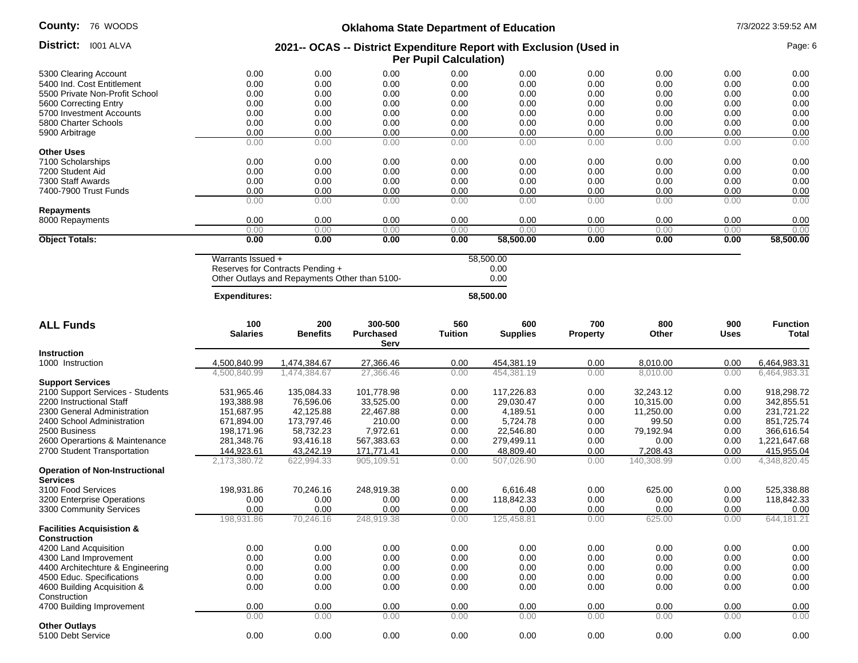| <b>County: 76 WOODS</b>        |      |      |      | <b>Oklahoma State Department of Education</b>                                                       |      |      |      |      | 7/3/2022 3:59:52 AM |
|--------------------------------|------|------|------|-----------------------------------------------------------------------------------------------------|------|------|------|------|---------------------|
| District:<br>I001 ALVA         |      |      |      | 2021-- OCAS -- District Expenditure Report with Exclusion (Used in<br><b>Per Pupil Calculation)</b> |      |      |      |      | Page: 6             |
| 5300 Clearing Account          | 0.00 | 0.00 | 0.00 | 0.00                                                                                                | 0.00 | 0.00 | 0.00 | 0.00 | 0.00                |
| 5400 Ind. Cost Entitlement     | 0.00 | 0.00 | 0.00 | 0.00                                                                                                | 0.00 | 0.00 | 0.00 | 0.00 | 0.00                |
| 5500 Private Non-Profit School | 0.00 | 0.00 | 0.00 | 0.00                                                                                                | 0.00 | 0.00 | 0.00 | 0.00 | 0.00                |
| 5600 Correcting Entry          | 0.00 | 0.00 | 0.00 | 0.00                                                                                                | 0.00 | 0.00 | 0.00 | 0.00 | 0.00                |
| 5700 Investment Accounts       | 0.00 | 0.00 | 0.00 | 0.00                                                                                                | 0.00 | 0.00 | 0.00 | 0.00 | 0.00                |
| 5800 Charter Schools           | 0.00 | 0.00 | 0.00 | 0.00                                                                                                | 0.00 | 0.00 | 0.00 | 0.00 | 0.00                |
| 5900 Arbitrage                 | 0.00 | 0.00 | 0.00 | 0.00                                                                                                | 0.00 | 0.00 | 0.00 | 0.00 | 0.00                |
|                                | 0.00 | 0.00 | 0.00 | 0.00                                                                                                | 0.00 | 0.00 | 0.00 | 0.00 | 0.00                |
| <b>Other Uses</b>              |      |      |      |                                                                                                     |      |      |      |      |                     |
| 7100 Scholarships              | 0.00 | 0.00 | 0.00 | 0.00                                                                                                | 0.00 | 0.00 | 0.00 | 0.00 | 0.00                |
| 7200 Student Aid               | 0.00 | 0.00 | 0.00 | 0.00                                                                                                | 0.00 | 0.00 | 0.00 | 0.00 | 0.00                |
| 7300 Staff Awards              | 0.00 | 0.00 | 0.00 | 0.00                                                                                                | 0.00 | 0.00 | 0.00 | 0.00 | 0.00                |
| 7400-7900 Trust Funds          | 0.00 | 0.00 | 0.00 | 0.00                                                                                                | 0.00 | 0.00 | 0.00 | 0.00 | 0.00                |
|                                | 0.00 | 0.00 | 0.00 | 0.00                                                                                                | 0.00 | 0.00 | 0.00 | 0.00 | 0.00                |

8000 Repayments 0.00 0.00 0.00 0.00 0.00 0.00 0.00 0.00

0.00 0.00 0.00 0.00 0.00 0.00 0.00 0.00 0.00

0.00 0.00

#### **Object Totals: 0.00 0.00 0.00 0.00 58,500.00 0.00 0.00 0.00 58,500.00**

**Repayments**

Warrants Issued + 58,500.00 Reserves for Contracts Pending + Other Outlays and Repayments Other than 5100-

| <b>Expenditures:</b> | 58,500.00 |
|----------------------|-----------|
|                      |           |

| <b>ALL Funds</b>                                         | 100<br><b>Salaries</b> | 200<br><b>Benefits</b> | 300-500<br><b>Purchased</b><br>Serv | 560<br><b>Tuition</b> | 600<br><b>Supplies</b> | 700<br><b>Property</b> | 800<br>Other | 900<br><b>Uses</b> | <b>Function</b><br><b>Total</b> |
|----------------------------------------------------------|------------------------|------------------------|-------------------------------------|-----------------------|------------------------|------------------------|--------------|--------------------|---------------------------------|
| <b>Instruction</b>                                       |                        |                        |                                     |                       |                        |                        |              |                    |                                 |
| 1000 Instruction                                         | 4,500,840.99           | 1,474,384.67           | 27,366.46                           | 0.00                  | 454,381.19             | 0.00                   | 8,010.00     | 0.00               | 6,464,983.31                    |
|                                                          | 4.500.840.99           | 1,474,384.67           | 27,366.46                           | 0.00                  | 454.381.19             | 0.00                   | 8.010.00     | 0.00               | 6,464,983.31                    |
| <b>Support Services</b>                                  |                        |                        |                                     |                       |                        |                        |              |                    |                                 |
| 2100 Support Services - Students                         | 531,965.46             | 135,084.33             | 101,778.98                          | 0.00                  | 117,226.83             | 0.00                   | 32,243.12    | 0.00               | 918,298.72                      |
| 2200 Instructional Staff                                 | 193,388.98             | 76,596.06              | 33,525.00                           | 0.00                  | 29.030.47              | 0.00                   | 10,315.00    | 0.00               | 342,855.51                      |
| 2300 General Administration                              | 151,687.95             | 42,125.88              | 22,467.88                           | 0.00                  | 4,189.51               | 0.00                   | 11,250.00    | 0.00               | 231,721.22                      |
| 2400 School Administration                               | 671,894.00             | 173,797.46             | 210.00                              | 0.00                  | 5,724.78               | 0.00                   | 99.50        | 0.00               | 851,725.74                      |
| 2500 Business                                            | 198,171.96             | 58,732.23              | 7,972.61                            | 0.00                  | 22,546.80              | 0.00                   | 79,192.94    | 0.00               | 366,616.54                      |
| 2600 Operartions & Maintenance                           | 281,348.76             | 93,416.18              | 567,383.63                          | 0.00                  | 279,499.11             | 0.00                   | 0.00         | 0.00               | 1,221,647.68                    |
| 2700 Student Transportation                              | 144,923.61             | 43,242.19              | 171,771.41                          | 0.00                  | 48,809.40              | 0.00                   | 7,208.43     | 0.00               | 415,955.04                      |
|                                                          | 2,173,380.72           | 622,994.33             | 905,109.51                          | 0.00                  | 507,026.90             | 0.00                   | 140,308.99   | 0.00               | 4,348,820.45                    |
| <b>Operation of Non-Instructional</b><br><b>Services</b> |                        |                        |                                     |                       |                        |                        |              |                    |                                 |
| 3100 Food Services                                       | 198,931.86             | 70,246.16              | 248,919.38                          | 0.00                  | 6,616.48               | 0.00                   | 625.00       | 0.00               | 525,338.88                      |
| 3200 Enterprise Operations                               | 0.00                   | 0.00                   | 0.00                                | 0.00                  | 118.842.33             | 0.00                   | 0.00         | 0.00               | 118,842.33                      |
| 3300 Community Services                                  | 0.00                   | 0.00                   | 0.00                                | 0.00                  | 0.00                   | 0.00                   | 0.00         | 0.00               | 0.00                            |
|                                                          | 198,931.86             | 70,246.16              | 248,919.38                          | 0.00                  | 125,458.81             | 0.00                   | 625.00       | 0.00               | 644.181.21                      |
| <b>Facilities Acquisistion &amp;</b>                     |                        |                        |                                     |                       |                        |                        |              |                    |                                 |
| <b>Construction</b>                                      |                        |                        |                                     |                       |                        |                        |              |                    |                                 |
| 4200 Land Acquisition                                    | 0.00                   | 0.00                   | 0.00                                | 0.00                  | 0.00                   | 0.00                   | 0.00         | 0.00               | 0.00                            |
| 4300 Land Improvement                                    | 0.00                   | 0.00                   | 0.00                                | 0.00                  | 0.00                   | 0.00                   | 0.00         | 0.00               | 0.00                            |
| 4400 Architechture & Engineering                         | 0.00                   | 0.00                   | 0.00                                | 0.00                  | 0.00                   | 0.00                   | 0.00         | 0.00               | 0.00                            |
| 4500 Educ. Specifications                                | 0.00                   | 0.00                   | 0.00                                | 0.00                  | 0.00                   | 0.00                   | 0.00         | 0.00               | 0.00                            |
| 4600 Building Acquisition &                              | 0.00                   | 0.00                   | 0.00                                | 0.00                  | 0.00                   | 0.00                   | 0.00         | 0.00               | 0.00                            |
| Construction                                             |                        |                        |                                     |                       |                        |                        |              |                    |                                 |
| 4700 Building Improvement                                | 0.00                   | 0.00                   | 0.00                                | 0.00                  | 0.00                   | 0.00                   | 0.00         | 0.00               | 0.00                            |
|                                                          | 0.00                   | 0.00                   | 0.00                                | 0.00                  | 0.00                   | 0.00                   | 0.00         | 0.00               | 0.00                            |
| <b>Other Outlays</b>                                     |                        |                        |                                     |                       |                        |                        |              |                    |                                 |
| 5100 Debt Service                                        | 0.00                   | 0.00                   | 0.00                                | 0.00                  | 0.00                   | 0.00                   | 0.00         | 0.00               | 0.00                            |